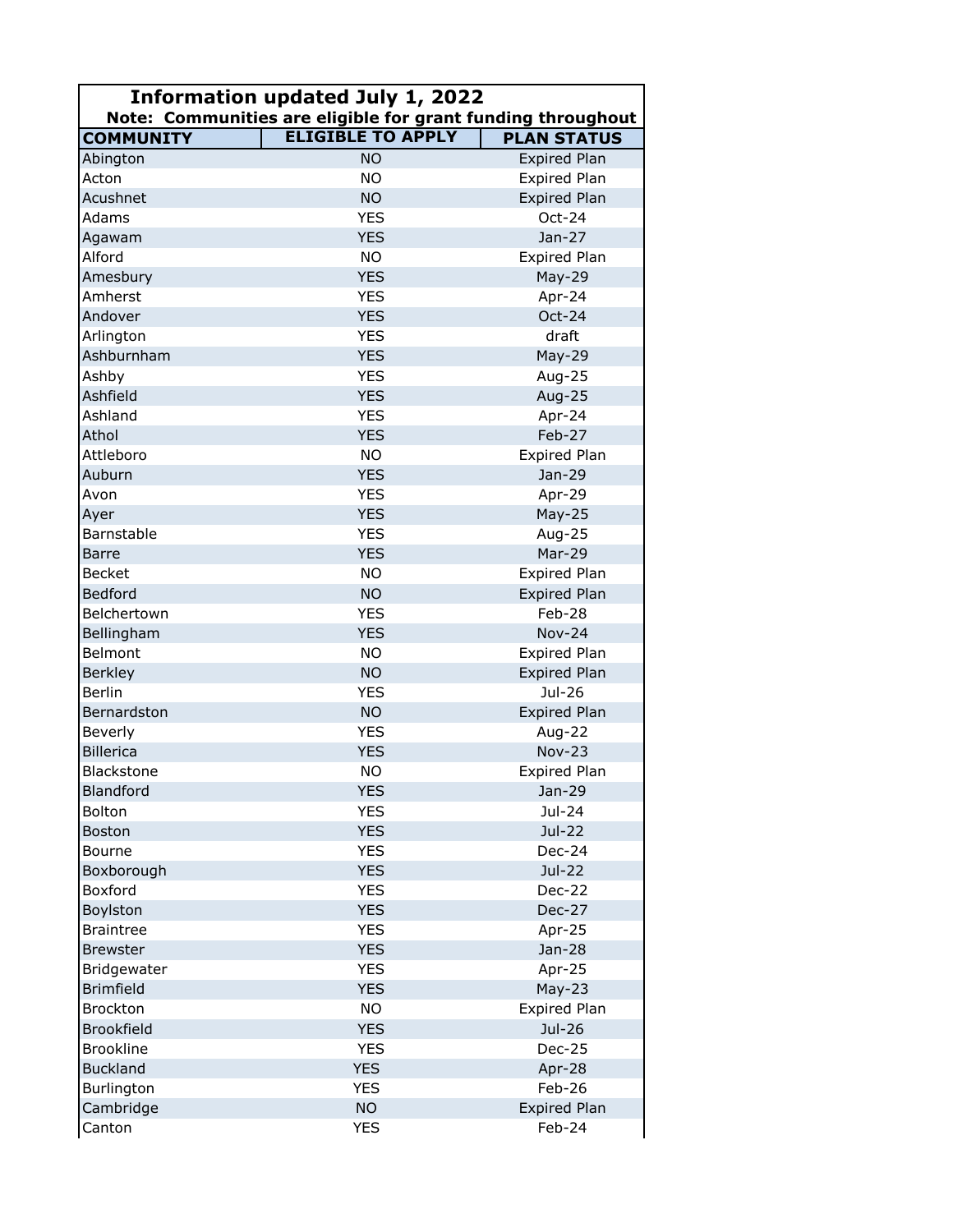| Information updated July 1, 2022<br>Note: Communities are eligible for grant funding throughout |                          |                         |  |
|-------------------------------------------------------------------------------------------------|--------------------------|-------------------------|--|
| <b>COMMUNITY</b>                                                                                | <b>ELIGIBLE TO APPLY</b> | <b>PLAN STATUS</b>      |  |
| Abington                                                                                        | <b>NO</b>                | <b>Expired Plan</b>     |  |
| Acton                                                                                           | <b>NO</b>                | Expired Plan            |  |
| Acushnet                                                                                        | <b>NO</b>                | <b>Expired Plan</b>     |  |
| Adams                                                                                           | <b>YES</b>               | Oct-24                  |  |
| Agawam                                                                                          | <b>YES</b>               | $Jan-27$                |  |
| Alford                                                                                          | <b>NO</b>                | <b>Expired Plan</b>     |  |
| Amesbury                                                                                        | <b>YES</b>               | May-29                  |  |
| Amherst                                                                                         | <b>YES</b>               | Apr-24                  |  |
| Andover                                                                                         | <b>YES</b>               | Oct-24                  |  |
| Arlington                                                                                       | <b>YES</b>               | draft                   |  |
| Ashburnham                                                                                      | <b>YES</b>               | May-29                  |  |
| Ashby                                                                                           | <b>YES</b>               | Aug-25                  |  |
| Ashfield                                                                                        | <b>YES</b>               | Aug-25                  |  |
| Ashland                                                                                         | <b>YES</b>               | Apr-24                  |  |
| Athol                                                                                           | <b>YES</b>               | Feb-27                  |  |
| Attleboro                                                                                       | <b>NO</b>                | Expired Plan            |  |
| Auburn                                                                                          | <b>YES</b>               | Jan-29                  |  |
| Avon                                                                                            | <b>YES</b>               | Apr-29                  |  |
| Ayer                                                                                            | <b>YES</b>               | $May-25$                |  |
| Barnstable                                                                                      | <b>YES</b>               | Aug-25                  |  |
| <b>Barre</b>                                                                                    | <b>YES</b>               | Mar-29                  |  |
| <b>Becket</b>                                                                                   | <b>NO</b>                | Expired Plan            |  |
| <b>Bedford</b>                                                                                  | <b>NO</b>                | <b>Expired Plan</b>     |  |
| Belchertown                                                                                     | <b>YES</b>               | Feb-28                  |  |
| Bellingham                                                                                      | <b>YES</b>               | $Nov-24$                |  |
| Belmont                                                                                         | <b>NO</b>                | Expired Plan            |  |
| <b>Berkley</b>                                                                                  | <b>NO</b>                | <b>Expired Plan</b>     |  |
| <b>Berlin</b>                                                                                   | <b>YES</b>               | Jul-26                  |  |
| Bernardston                                                                                     | <b>NO</b>                | Expired Plan            |  |
| Beverly                                                                                         | <b>YES</b>               |                         |  |
| <b>Billerica</b>                                                                                | <b>YES</b>               | Aug-22<br><b>Nov-23</b> |  |
| Blackstone                                                                                      | <b>NO</b>                | <b>Expired Plan</b>     |  |
| Blandford                                                                                       | <b>YES</b>               | Jan-29                  |  |
| Bolton                                                                                          | <b>YES</b>               | Jul-24                  |  |
| <b>Boston</b>                                                                                   | <b>YES</b>               | Jul-22                  |  |
| Bourne                                                                                          | <b>YES</b>               | Dec-24                  |  |
| Boxborough                                                                                      | <b>YES</b>               | Jul-22                  |  |
| Boxford                                                                                         | <b>YES</b>               | Dec-22                  |  |
|                                                                                                 | <b>YES</b>               | Dec-27                  |  |
| Boylston<br><b>Braintree</b>                                                                    | <b>YES</b>               |                         |  |
| <b>Brewster</b>                                                                                 | <b>YES</b>               | Apr-25<br>Jan-28        |  |
|                                                                                                 |                          |                         |  |
| Bridgewater                                                                                     | <b>YES</b>               | Apr-25                  |  |
| <b>Brimfield</b>                                                                                | <b>YES</b>               | $May-23$                |  |
| <b>Brockton</b>                                                                                 | <b>NO</b>                | Expired Plan            |  |
| <b>Brookfield</b>                                                                               | <b>YES</b>               | Jul-26                  |  |
| <b>Brookline</b>                                                                                | <b>YES</b>               | Dec-25                  |  |
| <b>Buckland</b>                                                                                 | <b>YES</b>               | Apr-28                  |  |
| Burlington                                                                                      | <b>YES</b>               | Feb-26                  |  |
| Cambridge                                                                                       | <b>NO</b>                | Expired Plan            |  |
| Canton                                                                                          | <b>YES</b>               | Feb-24                  |  |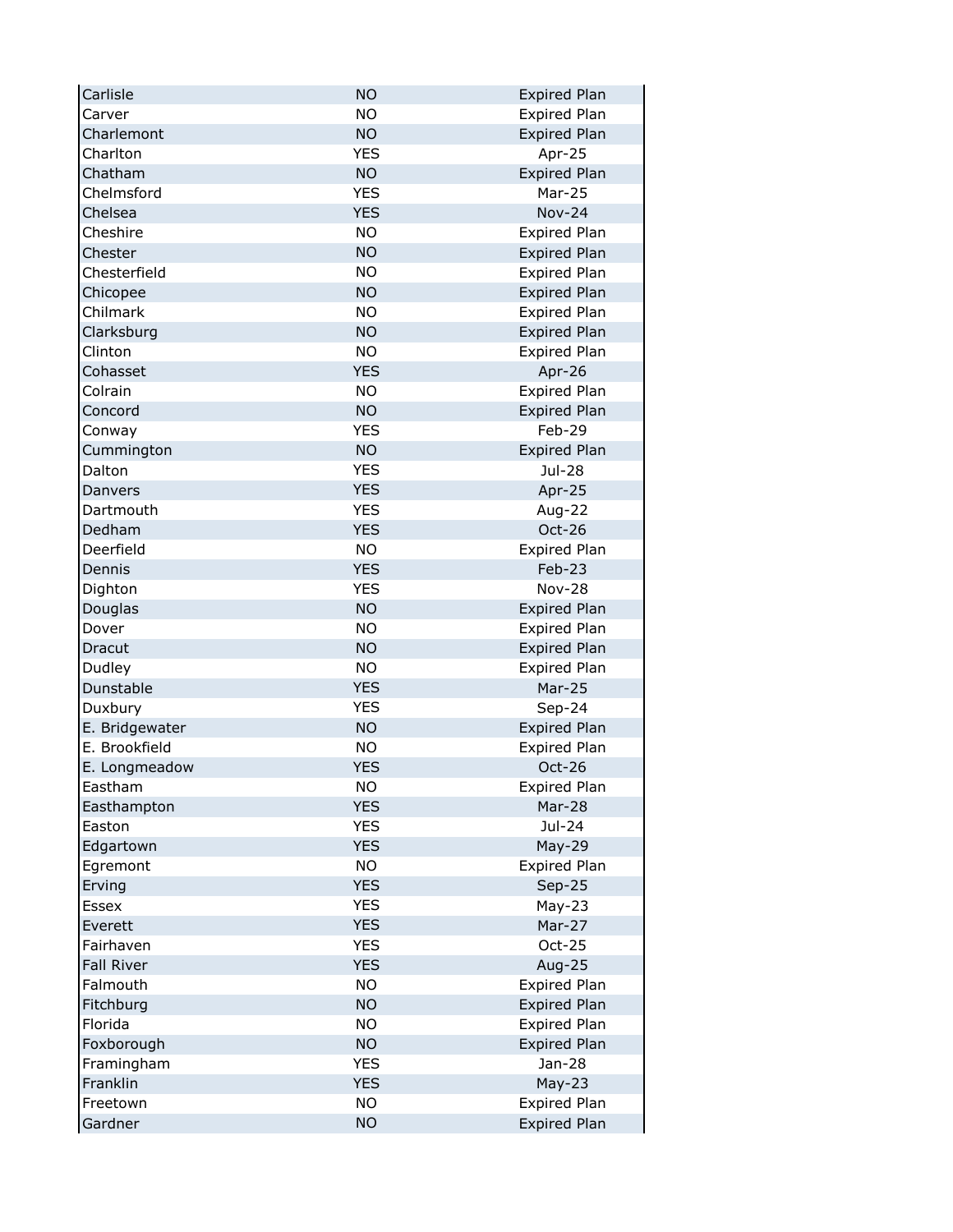| Carlisle          | <b>NO</b>  | <b>Expired Plan</b> |
|-------------------|------------|---------------------|
| Carver            | <b>NO</b>  | <b>Expired Plan</b> |
| Charlemont        | <b>NO</b>  | <b>Expired Plan</b> |
| Charlton          | <b>YES</b> | Apr-25              |
| Chatham           | <b>NO</b>  | <b>Expired Plan</b> |
| Chelmsford        | <b>YES</b> | Mar-25              |
| Chelsea           | <b>YES</b> | <b>Nov-24</b>       |
| Cheshire          | <b>NO</b>  | <b>Expired Plan</b> |
| Chester           | <b>NO</b>  | <b>Expired Plan</b> |
| Chesterfield      | <b>NO</b>  | <b>Expired Plan</b> |
| Chicopee          | <b>NO</b>  | <b>Expired Plan</b> |
| Chilmark          | <b>NO</b>  | Expired Plan        |
| Clarksburg        | <b>NO</b>  | <b>Expired Plan</b> |
| Clinton           | <b>NO</b>  | <b>Expired Plan</b> |
| Cohasset          | <b>YES</b> | Apr-26              |
| Colrain           | <b>NO</b>  | <b>Expired Plan</b> |
| Concord           | <b>NO</b>  | <b>Expired Plan</b> |
| Conway            | <b>YES</b> | Feb-29              |
| Cummington        | <b>NO</b>  | <b>Expired Plan</b> |
| Dalton            | <b>YES</b> | Jul-28              |
| Danvers           | <b>YES</b> | Apr-25              |
| Dartmouth         | <b>YES</b> | Aug-22              |
| Dedham            | <b>YES</b> | Oct-26              |
| Deerfield         | <b>NO</b>  | <b>Expired Plan</b> |
| Dennis            | <b>YES</b> | Feb-23              |
| Dighton           | <b>YES</b> | <b>Nov-28</b>       |
| Douglas           | <b>NO</b>  | <b>Expired Plan</b> |
| Dover             | <b>NO</b>  | <b>Expired Plan</b> |
| Dracut            | <b>NO</b>  | <b>Expired Plan</b> |
| Dudley            | <b>NO</b>  | <b>Expired Plan</b> |
| Dunstable         | <b>YES</b> | <b>Mar-25</b>       |
| Duxbury           | <b>YES</b> | Sep-24              |
| E. Bridgewater    | <b>NO</b>  | <b>Expired Plan</b> |
| E. Brookfield     | <b>NO</b>  | <b>Expired Plan</b> |
| E. Longmeadow     | <b>YES</b> | $Oct-26$            |
| Eastham           | <b>NO</b>  | <b>Expired Plan</b> |
| Easthampton       | <b>YES</b> | Mar-28              |
| Easton            | <b>YES</b> | Jul-24              |
| Edgartown         | <b>YES</b> | May-29              |
| Egremont          | <b>NO</b>  | <b>Expired Plan</b> |
| Erving            | <b>YES</b> | $Sep-25$            |
| Essex             | <b>YES</b> | $May-23$            |
| Everett           | <b>YES</b> | Mar-27              |
| Fairhaven         | <b>YES</b> | Oct-25              |
| <b>Fall River</b> | <b>YES</b> | Aug-25              |
| Falmouth          | <b>NO</b>  | <b>Expired Plan</b> |
| Fitchburg         | <b>NO</b>  | Expired Plan        |
| Florida           | <b>NO</b>  | Expired Plan        |
| Foxborough        | <b>NO</b>  | <b>Expired Plan</b> |
| Framingham        | <b>YES</b> | Jan-28              |
| Franklin          | <b>YES</b> | $May-23$            |
| Freetown          | <b>NO</b>  | <b>Expired Plan</b> |
| Gardner           | <b>NO</b>  | <b>Expired Plan</b> |
|                   |            |                     |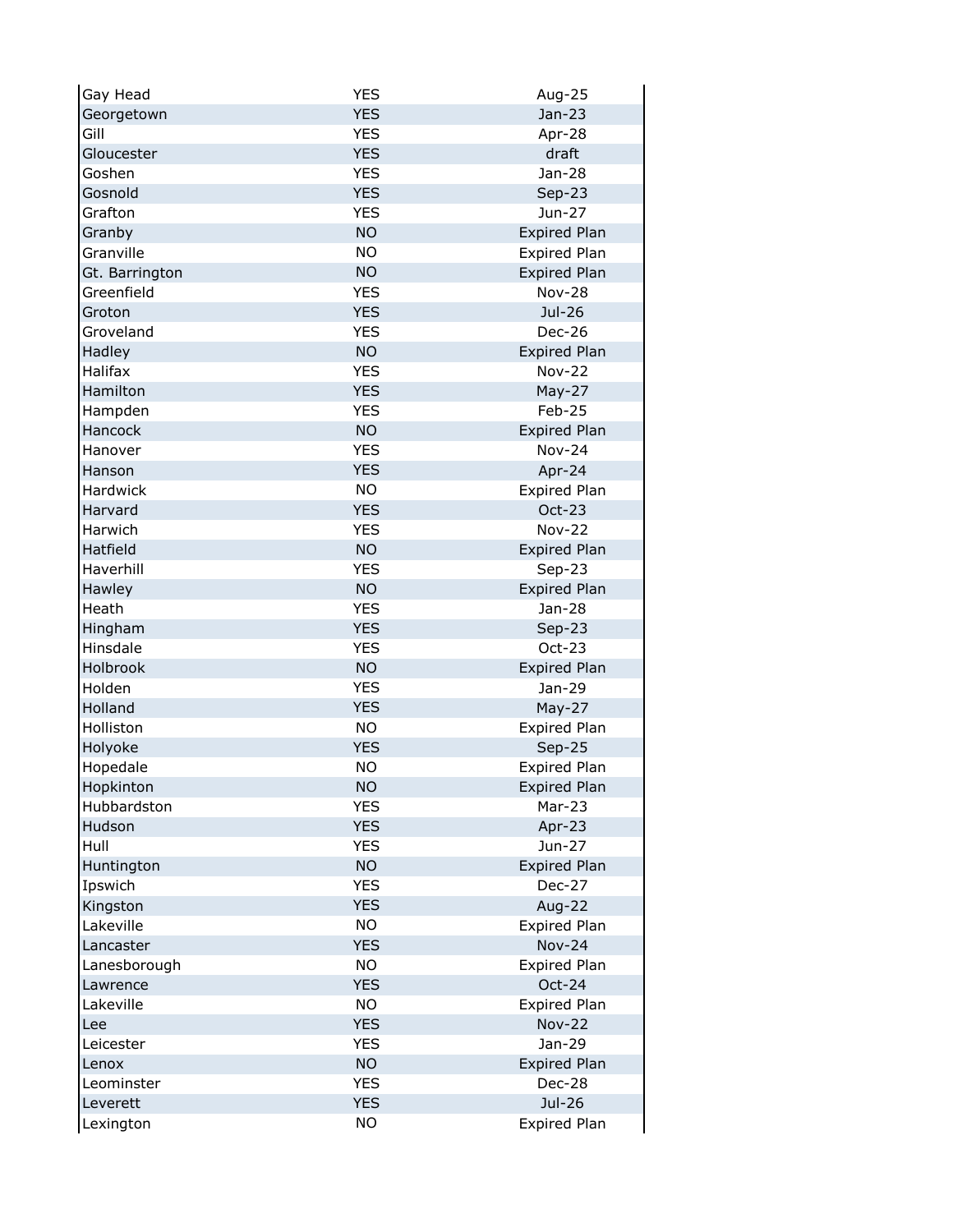| Gay Head       | <b>YES</b> | Aug-25                  |
|----------------|------------|-------------------------|
| Georgetown     | <b>YES</b> | Jan-23                  |
| Gill           | <b>YES</b> | Apr-28                  |
| Gloucester     | <b>YES</b> | draft                   |
| Goshen         | <b>YES</b> | Jan-28                  |
| Gosnold        | <b>YES</b> | Sep-23                  |
| Grafton        | <b>YES</b> | Jun-27                  |
| Granby         | <b>NO</b>  | <b>Expired Plan</b>     |
| Granville      | <b>NO</b>  | Expired Plan            |
| Gt. Barrington | <b>NO</b>  | <b>Expired Plan</b>     |
| Greenfield     | <b>YES</b> | <b>Nov-28</b>           |
| Groton         | <b>YES</b> | Jul-26                  |
| Groveland      | <b>YES</b> | Dec-26                  |
| Hadley         | <b>NO</b>  | <b>Expired Plan</b>     |
| Halifax        | <b>YES</b> | <b>Nov-22</b>           |
| Hamilton       | <b>YES</b> | $May-27$                |
| Hampden        | <b>YES</b> | Feb-25                  |
| Hancock        | <b>NO</b>  | <b>Expired Plan</b>     |
| Hanover        | <b>YES</b> | <b>Nov-24</b>           |
| Hanson         | <b>YES</b> | Apr-24                  |
| Hardwick       | <b>NO</b>  | <b>Expired Plan</b>     |
| Harvard        | <b>YES</b> | Oct-23                  |
| Harwich        | <b>YES</b> | <b>Nov-22</b>           |
| Hatfield       | <b>NO</b>  | <b>Expired Plan</b>     |
| Haverhill      | <b>YES</b> | Sep-23                  |
| Hawley         | <b>NO</b>  | <b>Expired Plan</b>     |
| Heath          | <b>YES</b> | Jan-28                  |
| Hingham        | <b>YES</b> | $Sep-23$                |
| Hinsdale       | <b>YES</b> | Oct-23                  |
| Holbrook       | <b>NO</b>  | <b>Expired Plan</b>     |
| Holden         | <b>YES</b> | Jan-29                  |
| Holland        | <b>YES</b> | May-27                  |
| Holliston      | <b>NO</b>  | Expired Plan            |
| Holyoke        | <b>YES</b> | $Sep-25$                |
| Hopedale       | <b>NO</b>  | <b>Expired Plan</b>     |
| Hopkinton      | <b>NO</b>  | <b>Expired Plan</b>     |
| Hubbardston    | <b>YES</b> | Mar-23                  |
| Hudson         | <b>YES</b> | Apr-23                  |
| Hull           | <b>YES</b> | Jun-27                  |
| Huntington     | <b>NO</b>  | <b>Expired Plan</b>     |
| Ipswich        | <b>YES</b> | Dec-27                  |
| Kingston       | <b>YES</b> | Aug-22                  |
| Lakeville      | <b>NO</b>  | <b>Expired Plan</b>     |
| Lancaster      | <b>YES</b> | <b>Nov-24</b>           |
| Lanesborough   | <b>NO</b>  | <b>Expired Plan</b>     |
| Lawrence       | <b>YES</b> | Oct-24                  |
| Lakeville      | <b>NO</b>  | Expired Plan            |
|                | <b>YES</b> |                         |
| Lee            | <b>YES</b> | <b>Nov-22</b><br>Jan-29 |
| Leicester      |            |                         |
| Lenox          | <b>NO</b>  | <b>Expired Plan</b>     |
| Leominster     | <b>YES</b> | Dec-28                  |
| Leverett       | <b>YES</b> | Jul-26                  |
| Lexington      | <b>NO</b>  | <b>Expired Plan</b>     |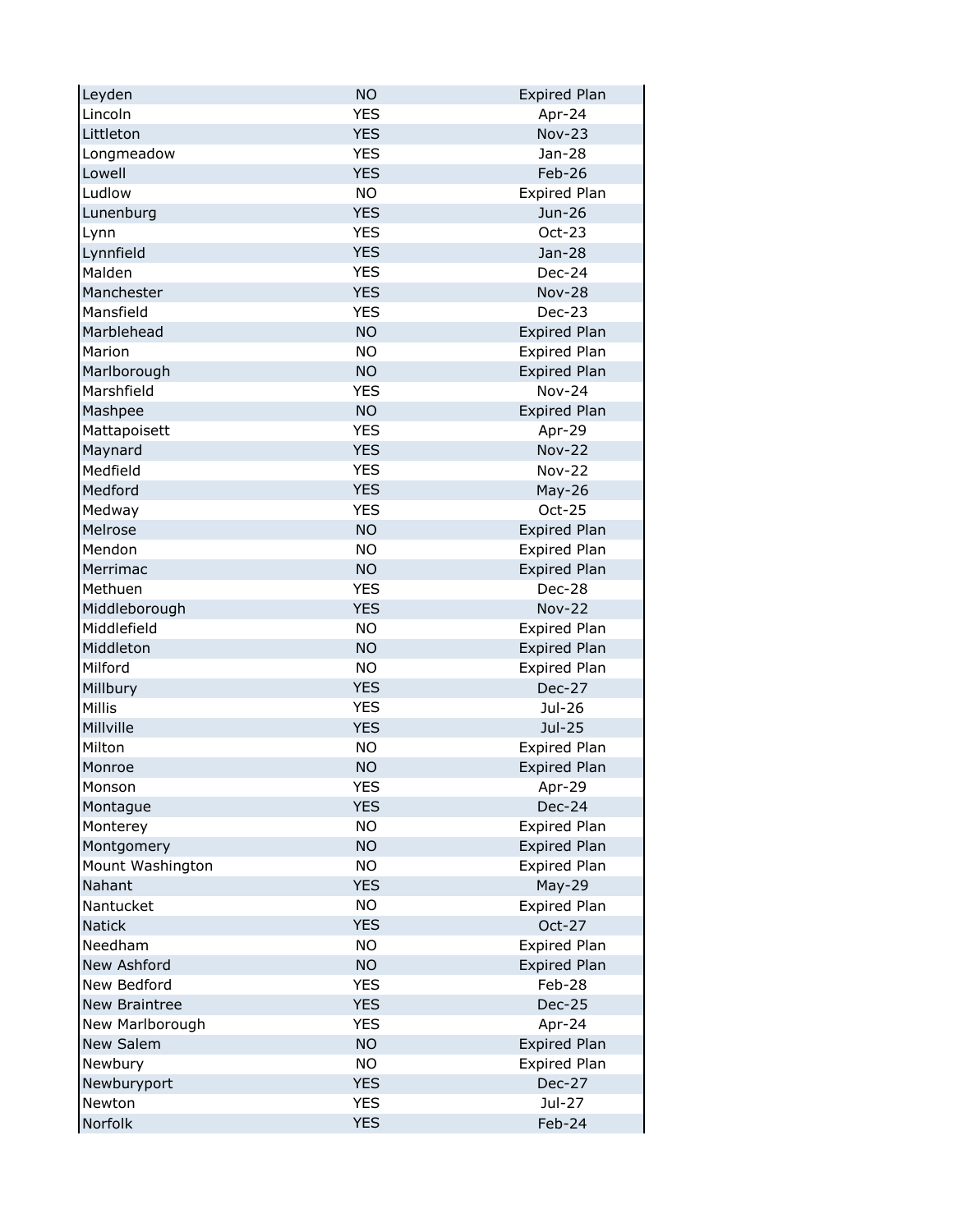| Leyden               | <b>NO</b>  | <b>Expired Plan</b> |
|----------------------|------------|---------------------|
| Lincoln              | <b>YES</b> | Apr-24              |
| Littleton            | <b>YES</b> | <b>Nov-23</b>       |
| Longmeadow           | <b>YES</b> | Jan-28              |
| Lowell               | <b>YES</b> | Feb-26              |
| Ludlow               | <b>NO</b>  | <b>Expired Plan</b> |
| Lunenburg            | <b>YES</b> | Jun-26              |
| Lynn                 | <b>YES</b> | $Oct-23$            |
| Lynnfield            | <b>YES</b> | Jan-28              |
| Malden               | <b>YES</b> | Dec-24              |
| Manchester           | <b>YES</b> | <b>Nov-28</b>       |
| Mansfield            | <b>YES</b> | Dec-23              |
| Marblehead           | <b>NO</b>  | <b>Expired Plan</b> |
| Marion               | <b>NO</b>  | <b>Expired Plan</b> |
| Marlborough          | <b>NO</b>  | <b>Expired Plan</b> |
| Marshfield           | <b>YES</b> | <b>Nov-24</b>       |
| Mashpee              | <b>NO</b>  | <b>Expired Plan</b> |
| Mattapoisett         | <b>YES</b> | Apr-29              |
| Maynard              | <b>YES</b> | <b>Nov-22</b>       |
| Medfield             | <b>YES</b> | <b>Nov-22</b>       |
| Medford              | <b>YES</b> | May-26              |
| Medway               | <b>YES</b> | Oct-25              |
| Melrose              | <b>NO</b>  | <b>Expired Plan</b> |
| Mendon               | <b>NO</b>  | <b>Expired Plan</b> |
| Merrimac             | <b>NO</b>  | <b>Expired Plan</b> |
| Methuen              | <b>YES</b> | Dec-28              |
| Middleborough        | <b>YES</b> | <b>Nov-22</b>       |
| Middlefield          | <b>NO</b>  | <b>Expired Plan</b> |
| Middleton            | <b>NO</b>  | <b>Expired Plan</b> |
| Milford              | <b>NO</b>  | <b>Expired Plan</b> |
| Millbury             | <b>YES</b> | <b>Dec-27</b>       |
| Millis               | <b>YES</b> | Jul-26              |
| Millville            | <b>YES</b> | Jul-25              |
| Milton               | <b>NO</b>  | <b>Expired Plan</b> |
| Monroe               | <b>NO</b>  | <b>Expired Plan</b> |
| Monson               | YES        | Apr-29              |
| Montague             | <b>YES</b> | Dec-24              |
| Monterey             | <b>NO</b>  | Expired Plan        |
| Montgomery           | <b>NO</b>  | Expired Plan        |
| Mount Washington     | <b>NO</b>  | Expired Plan        |
| Nahant               | <b>YES</b> | May-29              |
| Nantucket            | <b>NO</b>  | Expired Plan        |
| <b>Natick</b>        | <b>YES</b> | Oct-27              |
| Needham              | <b>NO</b>  | <b>Expired Plan</b> |
| New Ashford          | <b>NO</b>  | <b>Expired Plan</b> |
| New Bedford          | <b>YES</b> | Feb-28              |
| <b>New Braintree</b> | <b>YES</b> | Dec-25              |
| New Marlborough      | <b>YES</b> | Apr-24              |
| <b>New Salem</b>     | <b>NO</b>  | <b>Expired Plan</b> |
| Newbury              | <b>NO</b>  | Expired Plan        |
| Newburyport          | <b>YES</b> | Dec-27              |
| Newton               | <b>YES</b> | Jul-27              |
| Norfolk              | <b>YES</b> | Feb-24              |
|                      |            |                     |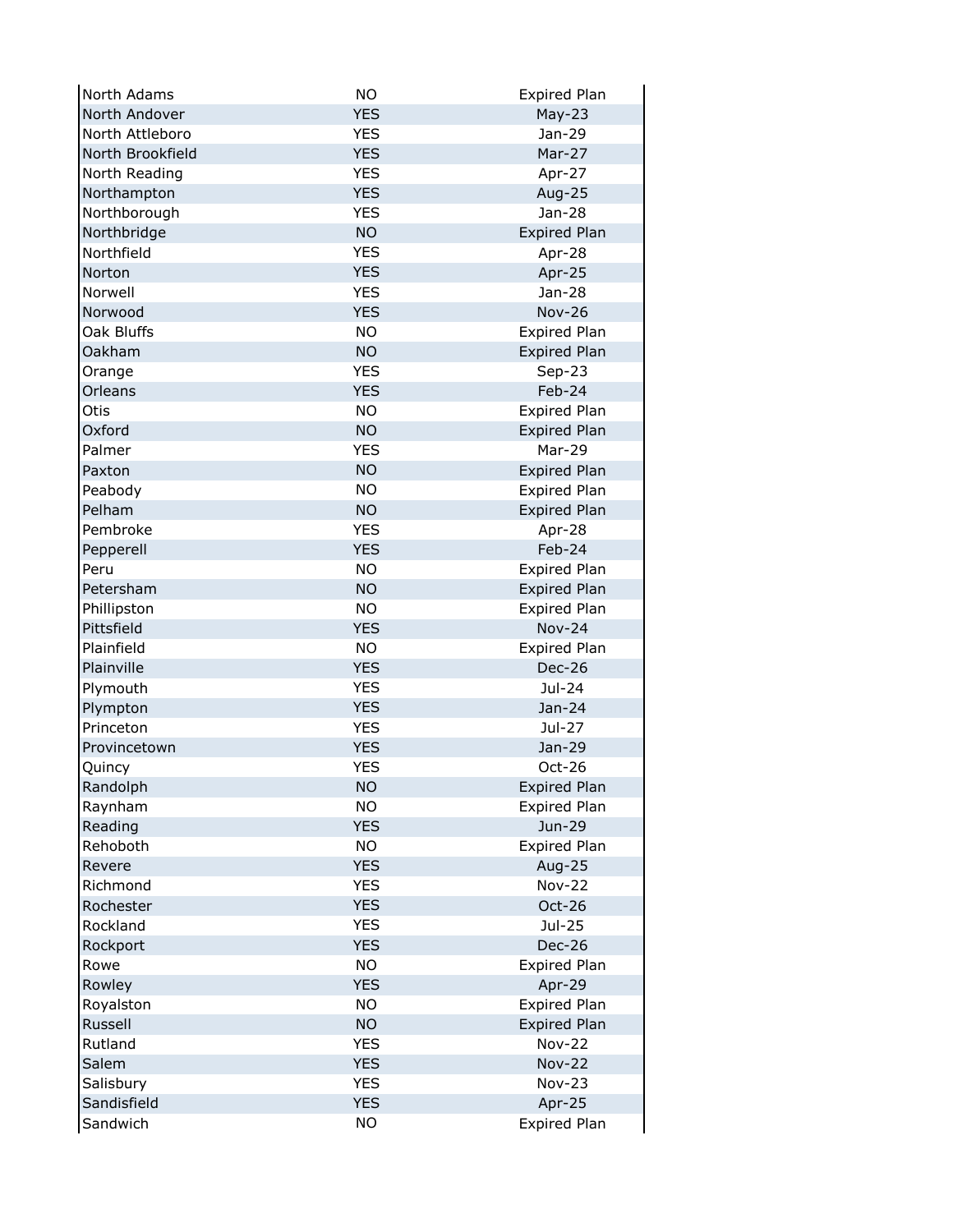| North Adams        | <b>NO</b>  | <b>Expired Plan</b> |
|--------------------|------------|---------------------|
| North Andover      | <b>YES</b> | $May-23$            |
| North Attleboro    | <b>YES</b> | Jan-29              |
| North Brookfield   | <b>YES</b> | Mar-27              |
| North Reading      | <b>YES</b> | Apr-27              |
| Northampton        | <b>YES</b> | Aug-25              |
| Northborough       | <b>YES</b> | Jan-28              |
| Northbridge        | <b>NO</b>  | <b>Expired Plan</b> |
| Northfield         | <b>YES</b> | Apr-28              |
| Norton             | <b>YES</b> | Apr-25              |
| Norwell            | <b>YES</b> | Jan-28              |
| Norwood            | <b>YES</b> | <b>Nov-26</b>       |
| Oak Bluffs         | <b>NO</b>  | <b>Expired Plan</b> |
| <b>Oakham</b>      | <b>NO</b>  | <b>Expired Plan</b> |
| Orange             | <b>YES</b> | $Sep-23$            |
| Orleans            | <b>YES</b> | Feb-24              |
| Otis               | <b>NO</b>  | Expired Plan        |
| Oxford             | <b>NO</b>  | <b>Expired Plan</b> |
| Palmer             | <b>YES</b> | Mar-29              |
| Paxton             | <b>NO</b>  | <b>Expired Plan</b> |
| Peabody            | <b>NO</b>  | <b>Expired Plan</b> |
| Pelham             | <b>NO</b>  | <b>Expired Plan</b> |
| Pembroke           | <b>YES</b> | Apr-28              |
| Pepperell          | <b>YES</b> | Feb-24              |
| Peru               | <b>NO</b>  | <b>Expired Plan</b> |
| Petersham          | <b>NO</b>  | <b>Expired Plan</b> |
| Phillipston        | <b>NO</b>  | <b>Expired Plan</b> |
| Pittsfield         | <b>YES</b> | <b>Nov-24</b>       |
| Plainfield         | <b>NO</b>  | <b>Expired Plan</b> |
| Plainville         | <b>YES</b> | Dec-26              |
| Plymouth           | <b>YES</b> | Jul-24              |
| Plympton           | <b>YES</b> | Jan-24              |
| Princeton          | <b>YES</b> | Jul-27              |
| Provincetown       | <b>YES</b> | Jan-29              |
| Quincy             | <b>YES</b> | Oct-26              |
| Randolph           | <b>NO</b>  | <b>Expired Plan</b> |
| Raynham            | <b>NO</b>  | <b>Expired Plan</b> |
| Reading            | <b>YES</b> | Jun-29              |
| Rehoboth           | <b>NO</b>  | <b>Expired Plan</b> |
| Revere             | <b>YES</b> | Aug-25              |
| Richmond           | <b>YES</b> | <b>Nov-22</b>       |
| Rochester          | <b>YES</b> | Oct-26              |
| Rockland           | <b>YES</b> | Jul-25              |
| Rockport           | <b>YES</b> | <b>Dec-26</b>       |
| Rowe               | <b>NO</b>  | <b>Expired Plan</b> |
| Rowley             | <b>YES</b> | Apr-29              |
| Royalston          | <b>NO</b>  | <b>Expired Plan</b> |
|                    |            |                     |
| Russell<br>Rutland | <b>NO</b>  | <b>Expired Plan</b> |
|                    | <b>YES</b> | <b>Nov-22</b>       |
| Salem              | <b>YES</b> | <b>Nov-22</b>       |
| Salisbury          | <b>YES</b> | <b>Nov-23</b>       |
| Sandisfield        | <b>YES</b> | Apr-25              |
| Sandwich           | <b>NO</b>  | <b>Expired Plan</b> |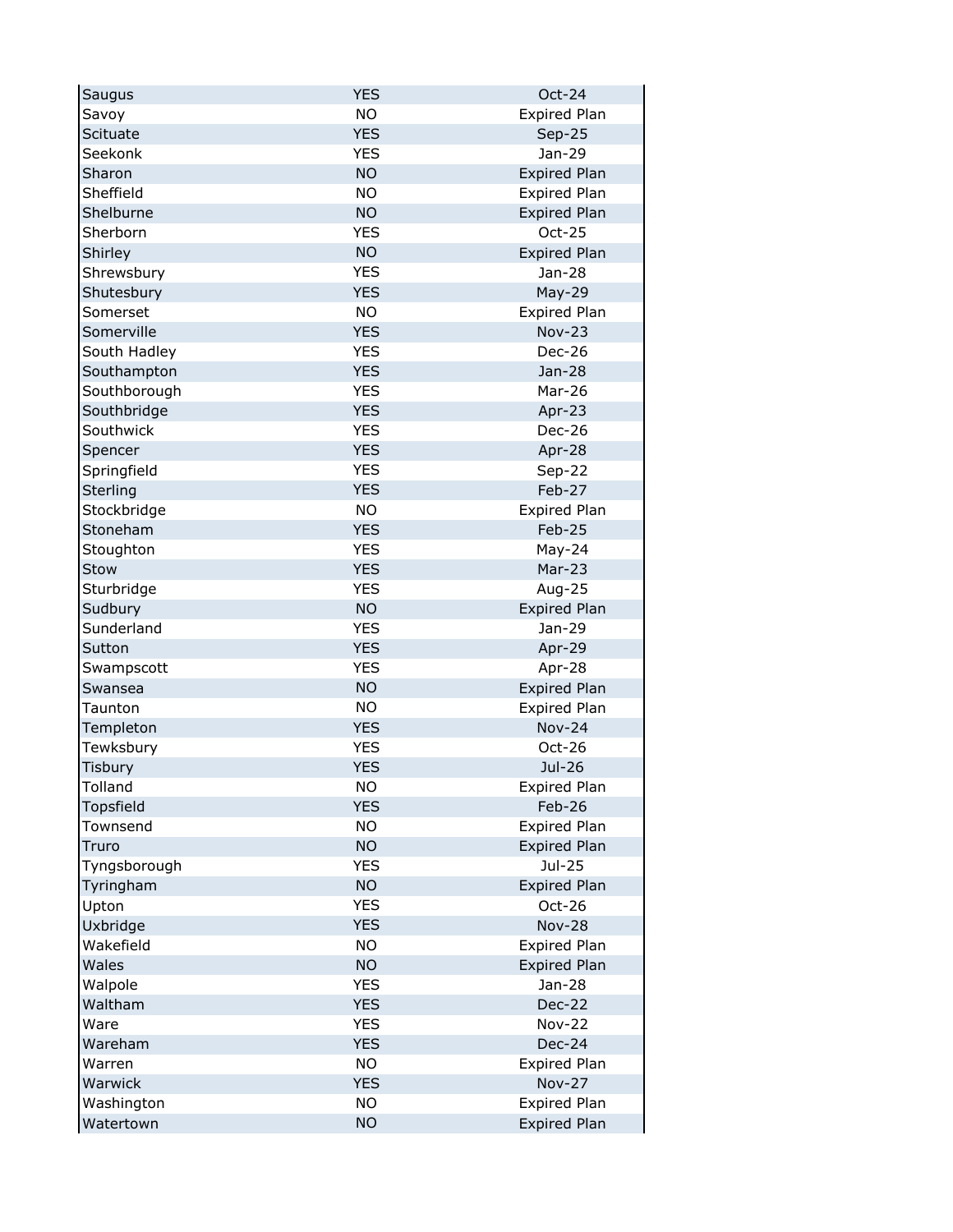| <b>NO</b><br><b>Expired Plan</b><br>Savoy<br><b>YES</b><br>Scituate<br>$Sep-25$<br><b>YES</b><br>Seekonk<br>Jan-29 |  |
|--------------------------------------------------------------------------------------------------------------------|--|
|                                                                                                                    |  |
|                                                                                                                    |  |
|                                                                                                                    |  |
| <b>NO</b><br>Sharon<br><b>Expired Plan</b>                                                                         |  |
| <b>NO</b><br>Sheffield<br><b>Expired Plan</b>                                                                      |  |
| <b>NO</b><br>Shelburne<br><b>Expired Plan</b>                                                                      |  |
| <b>YES</b><br>Sherborn<br>Oct-25                                                                                   |  |
| <b>NO</b><br>Shirley<br><b>Expired Plan</b>                                                                        |  |
| <b>YES</b><br>Shrewsbury<br>Jan-28                                                                                 |  |
| Shutesbury<br><b>YES</b><br>May-29                                                                                 |  |
| Somerset<br><b>NO</b><br><b>Expired Plan</b>                                                                       |  |
| Somerville<br><b>YES</b><br><b>Nov-23</b>                                                                          |  |
| South Hadley<br><b>YES</b><br>Dec-26                                                                               |  |
| Southampton<br><b>YES</b><br>$Jan-28$                                                                              |  |
| Southborough<br><b>YES</b><br>Mar-26                                                                               |  |
| <b>YES</b><br>Southbridge<br>Apr-23                                                                                |  |
| Southwick<br><b>YES</b><br><b>Dec-26</b>                                                                           |  |
| <b>YES</b><br>Spencer<br>Apr-28                                                                                    |  |
| <b>YES</b><br>Springfield<br>$Sep-22$                                                                              |  |
| <b>YES</b><br>Sterling<br>Feb-27                                                                                   |  |
| <b>NO</b><br>Stockbridge<br><b>Expired Plan</b>                                                                    |  |
| <b>YES</b><br>Stoneham<br>Feb-25                                                                                   |  |
| Stoughton<br><b>YES</b><br>May-24                                                                                  |  |
| <b>YES</b><br>Mar-23<br>Stow                                                                                       |  |
| <b>YES</b><br>Sturbridge<br>Aug-25                                                                                 |  |
| Sudbury<br><b>NO</b><br><b>Expired Plan</b>                                                                        |  |
| Sunderland<br><b>YES</b><br>Jan-29                                                                                 |  |
| <b>YES</b><br>Sutton<br>Apr-29                                                                                     |  |
| <b>YES</b><br>Apr-28<br>Swampscott                                                                                 |  |
| <b>NO</b><br><b>Expired Plan</b><br>Swansea                                                                        |  |
| <b>NO</b><br><b>Expired Plan</b><br>Taunton                                                                        |  |
| Templeton<br><b>YES</b><br><b>Nov-24</b>                                                                           |  |
| <b>YES</b><br>Oct-26<br>Tewksbury                                                                                  |  |
| <b>YES</b><br><b>Tisbury</b><br>Jul-26                                                                             |  |
| Tolland<br><b>NO</b><br><b>Expired Plan</b>                                                                        |  |
| <b>YES</b><br>Feb-26<br>Topsfield                                                                                  |  |
| <b>NO</b><br><b>Expired Plan</b><br>Townsend                                                                       |  |
| <b>NO</b><br><b>Expired Plan</b><br>Truro                                                                          |  |
| <b>YES</b><br>Jul-25<br>Tyngsborough                                                                               |  |
| <b>NO</b><br><b>Expired Plan</b><br>Tyringham                                                                      |  |
| <b>YES</b><br>Upton<br>Oct-26                                                                                      |  |
| Uxbridge<br><b>YES</b><br><b>Nov-28</b>                                                                            |  |
| Wakefield<br><b>NO</b><br>Expired Plan                                                                             |  |
| <b>NO</b><br>Wales<br><b>Expired Plan</b>                                                                          |  |
| <b>YES</b><br>Walpole<br>Jan-28                                                                                    |  |
| Waltham<br><b>YES</b><br>Dec-22                                                                                    |  |
| <b>YES</b><br>Ware<br><b>Nov-22</b>                                                                                |  |
| <b>YES</b><br>Wareham<br>Dec-24                                                                                    |  |
| <b>NO</b><br>Warren<br><b>Expired Plan</b>                                                                         |  |
| <b>YES</b><br><b>Nov-27</b><br>Warwick                                                                             |  |
| <b>NO</b><br><b>Expired Plan</b><br>Washington                                                                     |  |
| <b>NO</b><br><b>Expired Plan</b><br>Watertown                                                                      |  |